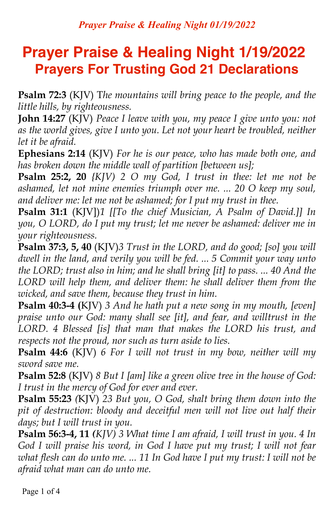# **Prayer Praise & Healing Night 1/19/2022 Prayers For Trusting God 21 Declarations**

**Psalm 72:3** (KJV) T*he mountains will bring peace to the people, and the little hills, by righteousness.*

**John 14:27** (KJV) *Peace I leave with you, my peace I give unto you: not as the world gives, give I unto you. Let not your heart be troubled, neither let it be afraid.*

**Ephesians 2:14** (KJV) *For he is our peace, who has made both one, and has broken down the middle wall of partition [between us];*

**Psalm 25:2, 20** *{KJV) 2 O my God, I trust in thee: let me not be ashamed, let not mine enemies triumph over me. ... 20 O keep my soul, and deliver me: let me not be ashamed; for I put my trust in thee.*

**Psalm 31:1** (KJV])*1 [[To the chief Musician, A Psalm of David.]] In you, O LORD, do I put my trust; let me never be ashamed: deliver me in your righteousness.*

**Psalm 37:3, 5, 40** (KJV)*3 Trust in the LORD, and do good; [so] you will dwell in the land, and verily you will be fed. ... 5 Commit your way unto the LORD; trust also in him; and he shall bring [it] to pass. ... 40 And the LORD will help them, and deliver them: he shall deliver them from the wicked, and save them, because they trust in him.*

**Psalm 40:3-4 (**KJV) *3 And he hath put a new song in my mouth, [even] praise unto our God: many shall see [it], and fear, and willtrust in the LORD. 4 Blessed [is] that man that makes the LORD his trust, and respects not the proud, nor such as turn aside to lies.*

**Psalm 44:6** (KJV) *6 For I will not trust in my bow, neither will my sword save me.*

**Psalm 52:8** (KJV) *8 But I [am] like a green olive tree in the house of God: I trust in the mercy of God for ever and ever.*

**Psalm 55:23** *(*KJV) *23 But you, O God, shalt bring them down into the pit of destruction: bloody and deceitful men will not live out half their days; but I will trust in you.*

**Psalm 56:3-4, 11** *(KJV) 3 What time I am afraid, I will trust in you. 4 In God I will praise his word, in God I have put my trust; I will not fear what flesh can do unto me. ... 11 In God have I put my trust: I will not be afraid what man can do unto me.*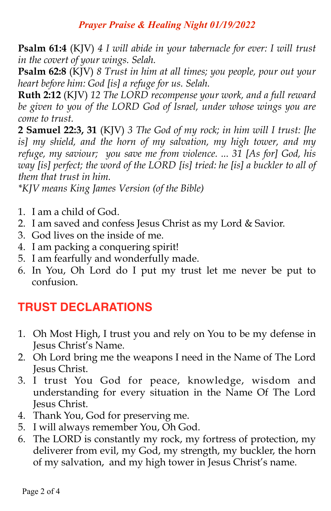#### *Prayer Praise & Healing Night 01/19/2022*

**Psalm 61:4** (KJV) *4 I will abide in your tabernacle for ever: I will trust in the covert of your wings. Selah.*

**Psalm 62:8** (KJV) *8 Trust in him at all times; you people, pour out your heart before him: God [is] a refuge for us. Selah.*

**Ruth 2:12** (KJV) *12 The LORD recompense your work, and a full reward be given to you of the LORD God of Israel, under whose wings you are come to trust.*

**2 Samuel 22:3, 31** (KJV) *3 The God of my rock; in him will I trust: [he is] my shield, and the horn of my salvation, my high tower, and my refuge, my saviour; you save me from violence. ... 31 [As for] God, his way [is] perfect; the word of the LORD [is] tried: he [is] a buckler to all of them that trust in him.*

*\*KJV means King James Version (of the Bible)* 

- 1. I am a child of God.
- 2. I am saved and confess Jesus Christ as my Lord & Savior.
- 3. God lives on the inside of me.
- 4. I am packing a conquering spirit!
- 5. I am fearfully and wonderfully made.
- 6. In You, Oh Lord do I put my trust let me never be put to confusion.

### **TRUST DECLARATIONS**

- 1. Oh Most High, I trust you and rely on You to be my defense in Jesus Christ's Name.
- 2. Oh Lord bring me the weapons I need in the Name of The Lord Jesus Christ.
- 3. I trust You God for peace, knowledge, wisdom and understanding for every situation in the Name Of The Lord Jesus Christ.
- 4. Thank You, God for preserving me.
- 5. I will always remember You, Oh God.
- 6. The LORD is constantly my rock, my fortress of protection, my deliverer from evil, my God, my strength, my buckler, the horn of my salvation, and my high tower in Jesus Christ's name.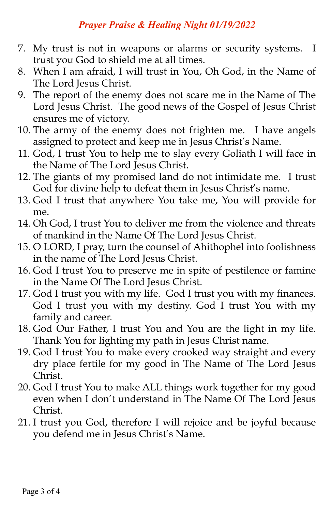#### *Prayer Praise & Healing Night 01/19/2022*

- 7. My trust is not in weapons or alarms or security systems. I trust you God to shield me at all times.
- 8. When I am afraid, I will trust in You, Oh God, in the Name of The Lord Jesus Christ.
- 9. The report of the enemy does not scare me in the Name of The Lord Jesus Christ. The good news of the Gospel of Jesus Christ ensures me of victory.
- 10. The army of the enemy does not frighten me. I have angels assigned to protect and keep me in Jesus Christ's Name.
- 11. God, I trust You to help me to slay every Goliath I will face in the Name of The Lord Jesus Christ.
- 12. The giants of my promised land do not intimidate me. I trust God for divine help to defeat them in Jesus Christ's name.
- 13. God I trust that anywhere You take me, You will provide for me.
- 14. Oh God, I trust You to deliver me from the violence and threats of mankind in the Name Of The Lord Jesus Christ.
- 15. O LORD, I pray, turn the counsel of Ahithophel into foolishness in the name of The Lord Jesus Christ.
- 16. God I trust You to preserve me in spite of pestilence or famine in the Name Of The Lord Jesus Christ.
- 17. God I trust you with my life. God I trust you with my finances. God I trust you with my destiny. God I trust You with my family and career.
- 18. God Our Father, I trust You and You are the light in my life. Thank You for lighting my path in Jesus Christ name.
- 19. God I trust You to make every crooked way straight and every dry place fertile for my good in The Name of The Lord Jesus Christ.
- 20. God I trust You to make ALL things work together for my good even when I don't understand in The Name Of The Lord Jesus Christ.
- 21. I trust you God, therefore I will rejoice and be joyful because you defend me in Jesus Christ's Name.